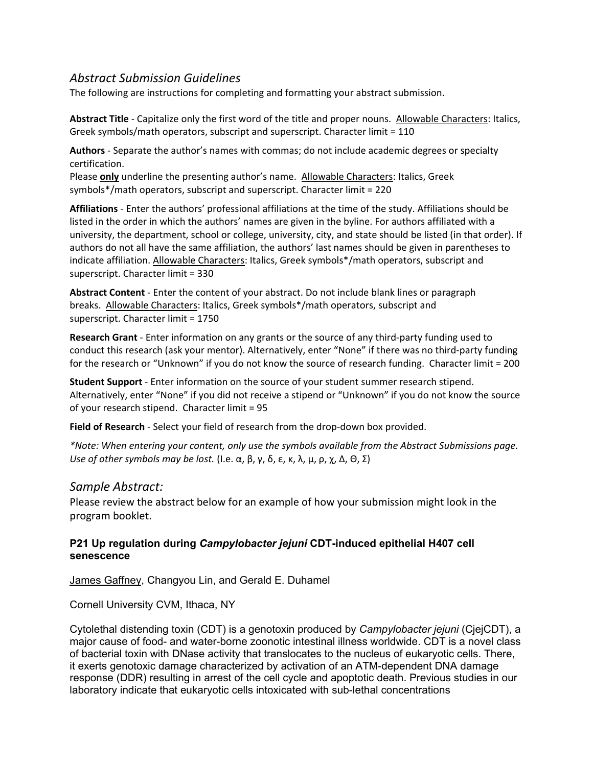## *Abstract Submission Guidelines*

The following are instructions for completing and formatting your abstract submission.

**Abstract Title** ‐ Capitalize only the first word of the title and proper nouns. Allowable Characters: Italics, Greek symbols/math operators, subscript and superscript. Character limit = 110

**Authors** ‐ Separate the author's names with commas; do not include academic degrees or specialty certification.

Please **only** underline the presenting author's name. Allowable Characters: Italics, Greek symbols\*/math operators, subscript and superscript. Character limit = 220

**Affiliations** ‐ Enter the authors' professional affiliations at the time of the study. Affiliations should be listed in the order in which the authors' names are given in the byline. For authors affiliated with a university, the department, school or college, university, city, and state should be listed (in that order). If authors do not all have the same affiliation, the authors' last names should be given in parentheses to indicate affiliation. Allowable Characters: Italics, Greek symbols\*/math operators, subscript and superscript. Character limit = 330

**Abstract Content** ‐ Enter the content of your abstract. Do not include blank lines or paragraph breaks. Allowable Characters: Italics, Greek symbols\*/math operators, subscript and superscript. Character limit = 1750

**Research Grant** ‐ Enter information on any grants or the source of any third‐party funding used to conduct this research (ask your mentor). Alternatively, enter "None" if there was no third‐party funding for the research or "Unknown" if you do not know the source of research funding. Character limit = 200

**Student Support** ‐ Enter information on the source of your student summer research stipend. Alternatively, enter "None" if you did not receive a stipend or "Unknown" if you do not know the source of your research stipend. Character limit = 95

**Field of Research** ‐ Select your field of research from the drop‐down box provided.

*\*Note: When entering your content, only use the symbols available from the Abstract Submissions page. Use of other symbols may be lost.* (I.e. α, β, γ, δ, ε, κ, λ, μ, ρ, χ, Δ, Θ, Σ)

## *Sample Abstract:*

Please review the abstract below for an example of how your submission might look in the program booklet.

## **P21 Up regulation during** *Campylobacter jejuni* **CDT-induced epithelial H407 cell senescence**

James Gaffney, Changyou Lin, and Gerald E. Duhamel

Cornell University CVM, Ithaca, NY

Cytolethal distending toxin (CDT) is a genotoxin produced by *Campylobacter jejuni* (CjejCDT), a major cause of food- and water-borne zoonotic intestinal illness worldwide. CDT is a novel class of bacterial toxin with DNase activity that translocates to the nucleus of eukaryotic cells. There, it exerts genotoxic damage characterized by activation of an ATM-dependent DNA damage response (DDR) resulting in arrest of the cell cycle and apoptotic death. Previous studies in our laboratory indicate that eukaryotic cells intoxicated with sub-lethal concentrations